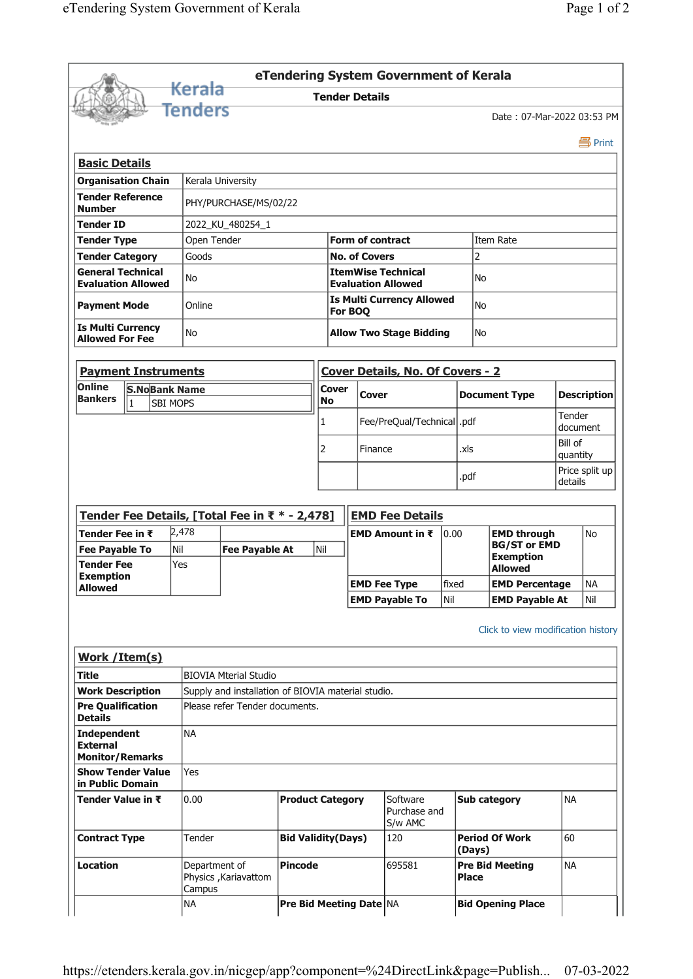|                                                                 |                            |                         |                                                    |                           |           |                         | eTendering System Government of Kerala                 |       |              |                                           |           |                    |
|-----------------------------------------------------------------|----------------------------|-------------------------|----------------------------------------------------|---------------------------|-----------|-------------------------|--------------------------------------------------------|-------|--------------|-------------------------------------------|-----------|--------------------|
|                                                                 |                            | Kerala                  |                                                    |                           |           | <b>Tender Details</b>   |                                                        |       |              |                                           |           |                    |
|                                                                 |                            | fenders                 |                                                    |                           |           |                         |                                                        |       |              | Date: 07-Mar-2022 03:53 PM                |           |                    |
|                                                                 |                            |                         |                                                    |                           |           |                         |                                                        |       |              |                                           |           | 昌 Print            |
|                                                                 |                            |                         |                                                    |                           |           |                         |                                                        |       |              |                                           |           |                    |
| <b>Basic Details</b>                                            | <b>Organisation Chain</b>  |                         |                                                    |                           |           |                         |                                                        |       |              |                                           |           |                    |
| <b>Tender Reference</b>                                         |                            |                         | Kerala University                                  |                           |           |                         |                                                        |       |              |                                           |           |                    |
| <b>Number</b>                                                   |                            |                         | PHY/PURCHASE/MS/02/22                              |                           |           |                         |                                                        |       |              |                                           |           |                    |
| <b>Tender ID</b>                                                |                            |                         | 2022_KU_480254_1                                   |                           |           |                         |                                                        |       |              |                                           |           |                    |
| <b>Tender Type</b>                                              |                            | Open Tender             |                                                    |                           |           | <b>Form of contract</b> |                                                        |       |              | Item Rate                                 |           |                    |
| <b>Tender Category</b>                                          |                            | Goods                   |                                                    |                           |           | <b>No. of Covers</b>    |                                                        |       | 2            |                                           |           |                    |
| <b>General Technical</b>                                        | <b>Evaluation Allowed</b>  | No                      |                                                    |                           |           |                         | <b>ItemWise Technical</b><br><b>Evaluation Allowed</b> |       | No           |                                           |           |                    |
|                                                                 |                            | Online                  |                                                    |                           |           |                         | <b>Is Multi Currency Allowed</b>                       |       | No           |                                           |           |                    |
| <b>Payment Mode</b>                                             |                            |                         |                                                    |                           |           | For BOQ                 |                                                        |       |              |                                           |           |                    |
| <b>Is Multi Currency</b><br><b>Allowed For Fee</b>              |                            | No                      |                                                    |                           |           |                         | <b>Allow Two Stage Bidding</b>                         |       | No           |                                           |           |                    |
|                                                                 |                            |                         |                                                    |                           |           |                         |                                                        |       |              |                                           |           |                    |
|                                                                 | <b>Payment Instruments</b> |                         |                                                    |                           |           |                         | <b>Cover Details, No. Of Covers - 2</b>                |       |              |                                           |           |                    |
| Online                                                          | <b>S.NoBank Name</b>       |                         |                                                    |                           | Cover     | <b>Cover</b>            |                                                        |       |              | <b>Document Type</b>                      |           | <b>Description</b> |
| <b>Bankers</b>                                                  | $\mathbf{1}$               | <b>SBI MOPS</b>         |                                                    |                           | <b>No</b> |                         |                                                        |       |              |                                           | Tender    |                    |
|                                                                 |                            |                         |                                                    |                           | 1         |                         | Fee/PreQual/Technical  .pdf                            |       |              |                                           |           | document           |
|                                                                 |                            |                         |                                                    |                           | 2         | Finance                 |                                                        |       | .xls         |                                           | Bill of   |                    |
|                                                                 |                            |                         |                                                    |                           |           |                         |                                                        |       |              |                                           | quantity  | Price split up     |
|                                                                 |                            |                         |                                                    |                           |           |                         |                                                        |       | .pdf         |                                           | details   |                    |
|                                                                 |                            |                         |                                                    |                           |           |                         |                                                        |       |              |                                           |           |                    |
|                                                                 |                            | 2,478                   | Tender Fee Details, [Total Fee in ₹ * - 2,478]     |                           |           |                         | <b>EMD Fee Details</b>                                 |       |              |                                           |           |                    |
| Tender Fee in ₹<br><b>Fee Payable To</b>                        |                            | Nil                     | <b>Fee Payable At</b>                              |                           | Nil       |                         | <b>EMD Amount in <math>\bar{x}</math></b>              | 0.00  |              | <b>EMD through</b><br><b>BG/ST or EMD</b> |           | No                 |
| <b>Tender Fee</b>                                               |                            | Yes                     |                                                    |                           |           |                         |                                                        |       |              | <b>Exemption</b><br><b>Allowed</b>        |           |                    |
| <b>Exemption</b>                                                |                            |                         |                                                    |                           |           |                         | <b>EMD Fee Type</b>                                    | fixed |              | <b>EMD Percentage</b>                     |           | <b>NA</b>          |
| <b>Allowed</b>                                                  |                            |                         |                                                    |                           |           |                         | <b>EMD Payable To</b>                                  | Nil   |              | <b>EMD Payable At</b>                     |           | Nil                |
|                                                                 |                            |                         |                                                    |                           |           |                         |                                                        |       |              |                                           |           |                    |
|                                                                 |                            |                         |                                                    |                           |           |                         |                                                        |       |              | Click to view modification history        |           |                    |
| <b>Work / Item(s)</b>                                           |                            |                         |                                                    |                           |           |                         |                                                        |       |              |                                           |           |                    |
| <b>Title</b>                                                    |                            |                         | <b>BIOVIA Mterial Studio</b>                       |                           |           |                         |                                                        |       |              |                                           |           |                    |
| <b>Work Description</b>                                         |                            |                         | Supply and installation of BIOVIA material studio. |                           |           |                         |                                                        |       |              |                                           |           |                    |
| <b>Pre Qualification</b><br><b>Details</b>                      |                            |                         | Please refer Tender documents.                     |                           |           |                         |                                                        |       |              |                                           |           |                    |
| <b>Independent</b><br><b>External</b><br><b>Monitor/Remarks</b> |                            | <b>NA</b>               |                                                    |                           |           |                         |                                                        |       |              |                                           |           |                    |
|                                                                 | <b>Show Tender Value</b>   | Yes                     |                                                    |                           |           |                         |                                                        |       |              |                                           |           |                    |
| in Public Domain                                                |                            |                         |                                                    |                           |           |                         |                                                        |       |              |                                           |           |                    |
| Tender Value in ₹                                               |                            | 0.00                    |                                                    | <b>Product Category</b>   |           |                         | Software<br>Purchase and<br>S/w AMC                    |       |              | <b>Sub category</b>                       | <b>NA</b> |                    |
| <b>Contract Type</b>                                            |                            | Tender                  |                                                    | <b>Bid Validity(Days)</b> |           |                         | 120                                                    |       | (Days)       | <b>Period Of Work</b>                     | 60        |                    |
| Location                                                        |                            | Department of<br>Campus | Physics , Kariavattom                              | <b>Pincode</b>            |           |                         | 695581                                                 |       | <b>Place</b> | <b>Pre Bid Meeting</b>                    | <b>NA</b> |                    |
|                                                                 |                            | <b>NA</b>               |                                                    |                           |           | Pre Bid Meeting Date NA |                                                        |       |              | <b>Bid Opening Place</b>                  |           |                    |